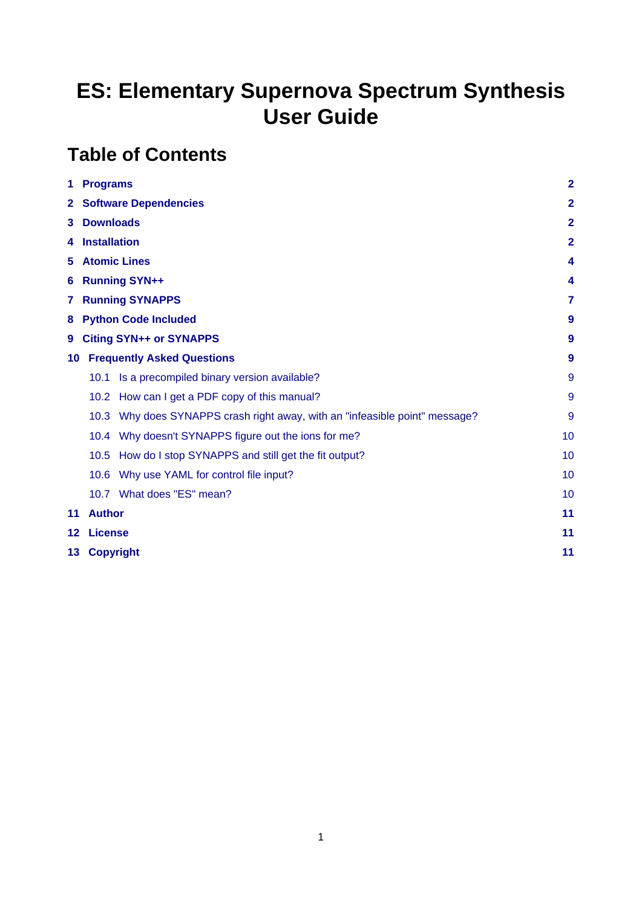# **ES: Elementary Supernova Spectrum Synthesis User Guide**

# **Table of Contents**

| 1                           | <b>Programs</b>             |                                                                             | $\overline{2}$ |  |  |  |  |  |
|-----------------------------|-----------------------------|-----------------------------------------------------------------------------|----------------|--|--|--|--|--|
|                             | 2 Software Dependencies     |                                                                             |                |  |  |  |  |  |
| 3.                          | <b>Downloads</b>            |                                                                             |                |  |  |  |  |  |
| 4                           | <b>Installation</b>         |                                                                             | $\mathbf{2}$   |  |  |  |  |  |
| 5.                          |                             | <b>Atomic Lines</b>                                                         | 4              |  |  |  |  |  |
| 6                           |                             | <b>Running SYN++</b>                                                        | 4              |  |  |  |  |  |
| <b>Running SYNAPPS</b><br>7 |                             |                                                                             |                |  |  |  |  |  |
| 8                           | <b>Python Code Included</b> |                                                                             |                |  |  |  |  |  |
| 9                           |                             | <b>Citing SYN++ or SYNAPPS</b>                                              | 9              |  |  |  |  |  |
| 10                          |                             | <b>Frequently Asked Questions</b>                                           | 9              |  |  |  |  |  |
|                             | 10.1                        | Is a precompiled binary version available?                                  | 9              |  |  |  |  |  |
|                             |                             | 10.2 How can I get a PDF copy of this manual?                               | 9              |  |  |  |  |  |
|                             |                             | 10.3 Why does SYNAPPS crash right away, with an "infeasible point" message? | 9              |  |  |  |  |  |
|                             |                             | 10.4 Why doesn't SYNAPPS figure out the ions for me?                        | 10             |  |  |  |  |  |
|                             | 10.5                        | How do I stop SYNAPPS and still get the fit output?                         | 10             |  |  |  |  |  |
|                             |                             | 10.6 Why use YAML for control file input?                                   | 10             |  |  |  |  |  |
|                             |                             | 10.7 What does "ES" mean?                                                   | 10             |  |  |  |  |  |
| 11                          | <b>Author</b>               |                                                                             | 11             |  |  |  |  |  |
| $12 \,$                     | <b>License</b>              |                                                                             | 11             |  |  |  |  |  |
| 13                          | <b>Copyright</b>            |                                                                             |                |  |  |  |  |  |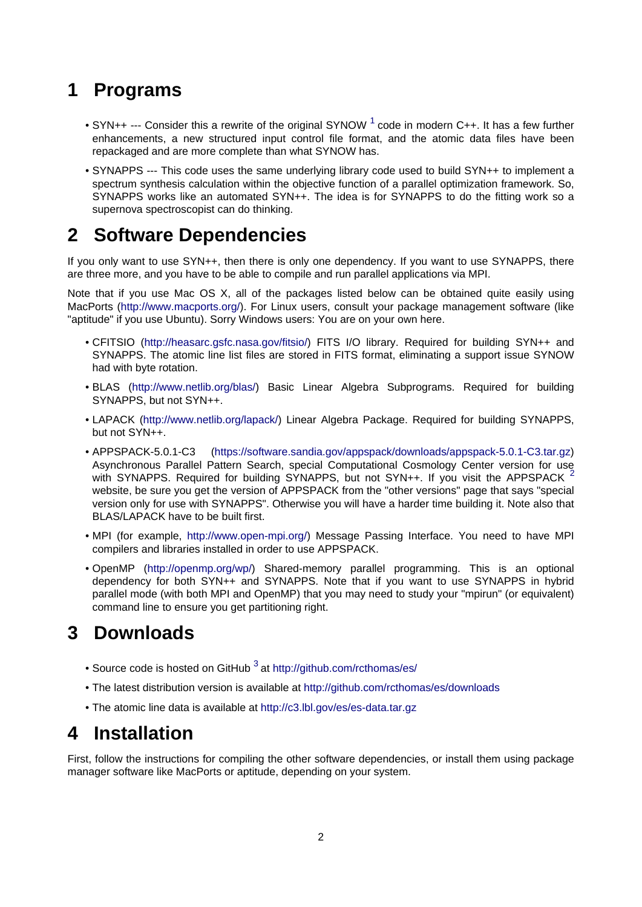## <span id="page-1-0"></span>**1 Programs**

- <span id="page-1-5"></span>• SYN++ --- Consider this a rewrite of the original SYNOW  $<sup>1</sup>$  code in modern C++. It has a few further</sup> enhancements, a new structured input control file format, and the atomic data files have been repackaged and are more complete than what SYNOW has.
- SYNAPPS --- This code uses the same underlying library code used to build SYN++ to implement a spectrum synthesis calculation within the objective function of a parallel optimization framework. So, SYNAPPS works like an automated SYN++. The idea is for SYNAPPS to do the fitting work so a supernova spectroscopist can do thinking.

### <span id="page-1-1"></span>**2 Software Dependencies**

If you only want to use SYN++, then there is only one dependency. If you want to use SYNAPPS, there are three more, and you have to be able to compile and run parallel applications via MPI.

Note that if you use Mac OS X, all of the packages listed below can be obtained quite easily using MacPorts [\(http://www.macports.org/\)](http://www.macports.org/). For Linux users, consult your package management software (like "aptitude" if you use Ubuntu). Sorry Windows users: You are on your own here.

- CFITSIO (<http://heasarc.gsfc.nasa.gov/fitsio/>) FITS I/O library. Required for building SYN++ and SYNAPPS. The atomic line list files are stored in FITS format, eliminating a support issue SYNOW had with byte rotation.
- BLAS (<http://www.netlib.org/blas/>) Basic Linear Algebra Subprograms. Required for building SYNAPPS, but not SYN++.
- LAPACK ([http://www.netlib.org/lapack/\)](http://www.netlib.org/lapack/) Linear Algebra Package. Required for building SYNAPPS, but not SYN++.
- <span id="page-1-6"></span>• APPSPACK-5.0.1-C3 [\(https://software.sandia.gov/appspack/downloads/appspack-5.0.1-C3.tar.gz](https://software.sandia.gov/appspack/downloads/appspack-5.0.1-C3.tar.gz)) Asynchronous Parallel Pattern Search, special Computational Cosmology Center version for use with SYNAPPS. Required for building SYNAPPS, but not SYN++. If you visit the APPSPACK  $^2$  $^2$ website, be sure you get the version of APPSPACK from the "other versions" page that says "special version only for use with SYNAPPS". Otherwise you will have a harder time building it. Note also that BLAS/LAPACK have to be built first.
- MPI (for example, [http://www.open-mpi.org/\)](http://www.open-mpi.org/) Message Passing Interface. You need to have MPI compilers and libraries installed in order to use APPSPACK.
- OpenMP (<http://openmp.org/wp/>) Shared-memory parallel programming. This is an optional dependency for both SYN++ and SYNAPPS. Note that if you want to use SYNAPPS in hybrid parallel mode (with both MPI and OpenMP) that you may need to study your "mpirun" (or equivalent) command line to ensure you get partitioning right.

## <span id="page-1-4"></span><span id="page-1-2"></span>**3 Downloads**

- <span id="page-1-7"></span>• Source code is hosted on GitHub  $3$  at<http://github.com/rcthomas/es/>
- The latest distribution version is available at <http://github.com/rcthomas/es/downloads>
- The atomic line data is available at <http://c3.lbl.gov/es/es-data.tar.gz>

## <span id="page-1-3"></span>**4 Installation**

First, follow the instructions for compiling the other software dependencies, or install them using package manager software like MacPorts or aptitude, depending on your system.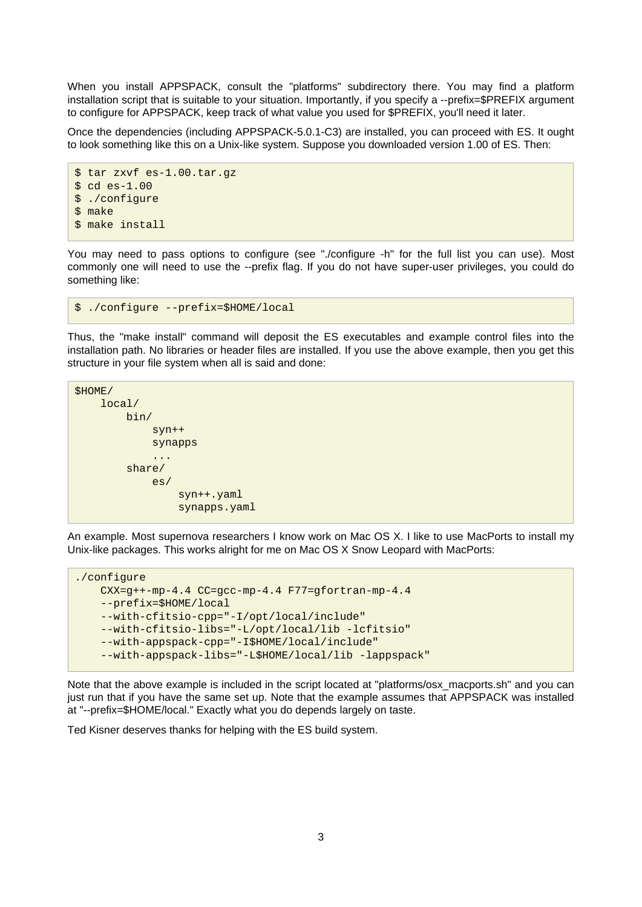When you install APPSPACK, consult the "platforms" subdirectory there. You may find a platform installation script that is suitable to your situation. Importantly, if you specify a --prefix=\$PREFIX argument to configure for APPSPACK, keep track of what value you used for \$PREFIX, you'll need it later.

Once the dependencies (including APPSPACK-5.0.1-C3) are installed, you can proceed with ES. It ought to look something like this on a Unix-like system. Suppose you downloaded version 1.00 of ES. Then:

```
$ tar zxvf es-1.00.tar.gz
$ cd es-1.00$ ./configure
$ make
$ make install
```
You may need to pass options to configure (see "./configure -h" for the full list you can use). Most commonly one will need to use the --prefix flag. If you do not have super-user privileges, you could do something like:

```
$ ./configure --prefix=$HOME/local
```
Thus, the "make install" command will deposit the ES executables and example control files into the installation path. No libraries or header files are installed. If you use the above example, then you get this structure in your file system when all is said and done:

```
$HOME/
     local/
        bin/
            svm++ synapps
 ...
         share/
             es/
                 syn++.yaml
                 synapps.yaml
```
An example. Most supernova researchers I know work on Mac OS X. I like to use MacPorts to install my Unix-like packages. This works alright for me on Mac OS X Snow Leopard with MacPorts:

```
./configure
    CXX=g++-mp-4.4 CC=gcc-mp-4.4 F77=gfortran-mp-4.4
    --prefix=$HOME/local
     --with-cfitsio-cpp="-I/opt/local/include"
    --with-cfitsio-libs="-L/opt/local/lib -lcfitsio"
    --with-appspack-cpp="-I$HOME/local/include"
    --with-appspack-libs="-L$HOME/local/lib -lappspack"
```
Note that the above example is included in the script located at "platforms/osx\_macports.sh" and you can just run that if you have the same set up. Note that the example assumes that APPSPACK was installed at "--prefix=\$HOME/local." Exactly what you do depends largely on taste.

Ted Kisner deserves thanks for helping with the ES build system.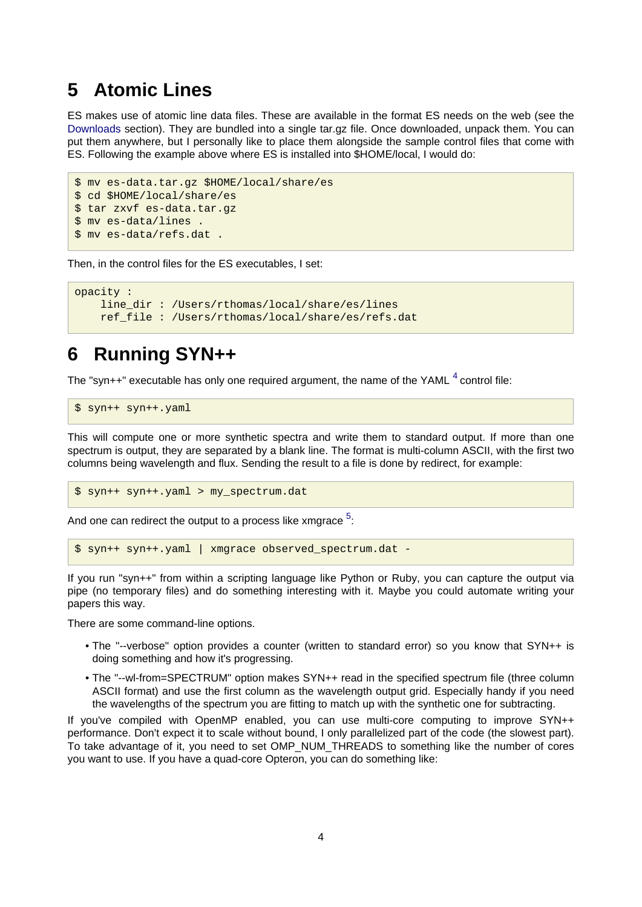### <span id="page-3-0"></span>**5 Atomic Lines**

ES makes use of atomic line data files. These are available in the format ES needs on the web (see the [Downloads s](#page-1-4)ection). They are bundled into a single tar.gz file. Once downloaded, unpack them. You can put them anywhere, but I personally like to place them alongside the sample control files that come with ES. Following the example above where ES is installed into \$HOME/local, I would do:

```
$ mv es-data.tar.gz $HOME/local/share/es
$ cd $HOME/local/share/es
$ tar zxvf es-data.tar.gz
$ mv es-data/lines .
$ mv es-data/refs.dat .
```
Then, in the control files for the ES executables, I set:

```
opacity :
     line_dir : /Users/rthomas/local/share/es/lines
     ref_file : /Users/rthomas/local/share/es/refs.dat
```
### <span id="page-3-1"></span>**6 Running SYN++**

The "syn++" executable has only one required argument, the name of the YAML  $^4$  control file:

<span id="page-3-2"></span>\$ syn++ syn++.yaml

This will compute one or more synthetic spectra and write them to standard output. If more than one spectrum is output, they are separated by a blank line. The format is multi-column ASCII, with the first two columns being wavelength and flux. Sending the result to a file is done by redirect, for example:

<span id="page-3-3"></span>\$ syn++ syn++.yaml > my\_spectrum.dat

And one can redirect the output to a process like xmgrace  $^5$  $^5$ :

\$ syn++ syn++.yaml | xmgrace observed\_spectrum.dat -

If you run "syn++" from within a scripting language like Python or Ruby, you can capture the output via pipe (no temporary files) and do something interesting with it. Maybe you could automate writing your papers this way.

There are some command-line options.

- The "--verbose" option provides a counter (written to standard error) so you know that SYN++ is doing something and how it's progressing.
- The "--wl-from=SPECTRUM" option makes SYN++ read in the specified spectrum file (three column ASCII format) and use the first column as the wavelength output grid. Especially handy if you need the wavelengths of the spectrum you are fitting to match up with the synthetic one for subtracting.

If you've compiled with OpenMP enabled, you can use multi-core computing to improve SYN++ performance. Don't expect it to scale without bound, I only parallelized part of the code (the slowest part). To take advantage of it, you need to set OMP\_NUM\_THREADS to something like the number of cores you want to use. If you have a quad-core Opteron, you can do something like: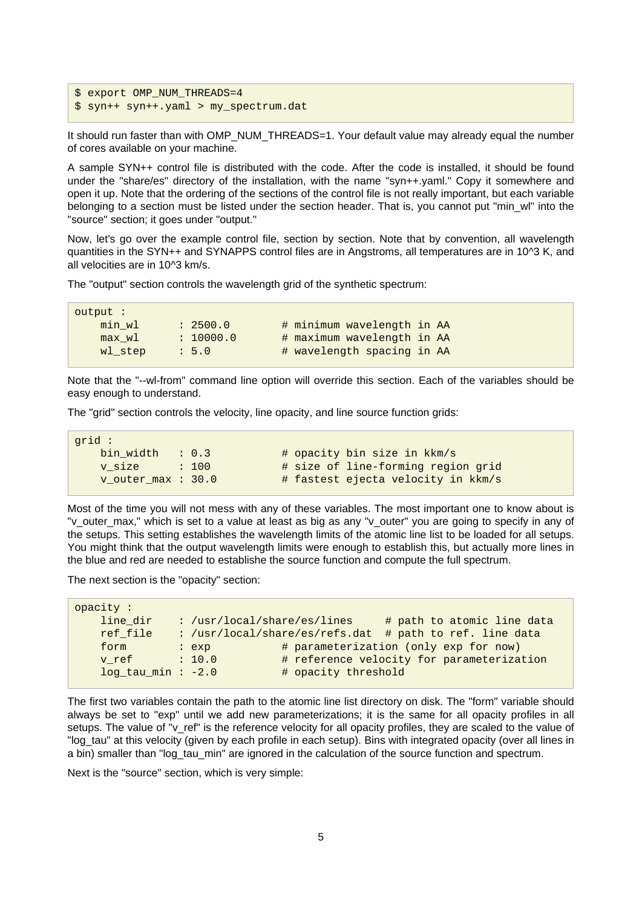```
$ export OMP NUM THREADS=4
$ syn++ syn++.yaml > my_spectrum.dat
```
It should run faster than with OMP\_NUM\_THREADS=1. Your default value may already equal the number of cores available on your machine.

A sample SYN++ control file is distributed with the code. After the code is installed, it should be found under the "share/es" directory of the installation, with the name "syn++.yaml." Copy it somewhere and open it up. Note that the ordering of the sections of the control file is not really important, but each variable belonging to a section must be listed under the section header. That is, you cannot put "min\_wl" into the "source" section; it goes under "output."

Now, let's go over the example control file, section by section. Note that by convention, all wavelength quantities in the SYN++ and SYNAPPS control files are in Angstroms, all temperatures are in 10^3 K, and all velocities are in 10^3 km/s.

The "output" section controls the wavelength grid of the synthetic spectrum:

| output : |           |                            |
|----------|-----------|----------------------------|
| min wl   | : 2500.0  | # minimum wavelength in AA |
| max wl   | : 10000.0 | # maximum wavelength in AA |
| wl step  | : 5.0     | # wavelength spacing in AA |
|          |           |                            |

Note that the "--wl-from" command line option will override this section. Each of the variables should be easy enough to understand.

The "grid" section controls the velocity, line opacity, and line source function grids:

| qrid :              |                  |                                    |
|---------------------|------------------|------------------------------------|
| bin width $: 0.3$   |                  | # opacity bin size in kkm/s        |
| v size              | $\therefore$ 100 | # size of line-forming region grid |
| v outer $max: 30.0$ |                  | # fastest ejecta velocity in kkm/s |

Most of the time you will not mess with any of these variables. The most important one to know about is "v\_outer\_max," which is set to a value at least as big as any "v\_outer" you are going to specify in any of the setups. This setting establishes the wavelength limits of the atomic line list to be loaded for all setups. You might think that the output wavelength limits were enough to establish this, but actually more lines in the blue and red are needed to establishe the source function and compute the full spectrum.

The next section is the "opacity" section:

| opacity :            |                               |                     |                                                         |
|----------------------|-------------------------------|---------------------|---------------------------------------------------------|
| line dir             | : $/usr/local/share/es/lines$ |                     | # path to atomic line data                              |
| ref file             |                               |                     | : /usr/local/share/es/refs.dat # path to ref. line data |
| form                 | : exp                         |                     | # parameterization (only exp for now)                   |
| v ref                | : 10.0                        |                     | # reference velocity for parameterization               |
| $log tan min$ : -2.0 |                               | # opacity threshold |                                                         |
|                      |                               |                     |                                                         |

The first two variables contain the path to the atomic line list directory on disk. The "form" variable should always be set to "exp" until we add new parameterizations; it is the same for all opacity profiles in all setups. The value of "v\_ref" is the reference velocity for all opacity profiles, they are scaled to the value of "log tau" at this velocity (given by each profile in each setup). Bins with integrated opacity (over all lines in a bin) smaller than "log\_tau\_min" are ignored in the calculation of the source function and spectrum.

Next is the "source" section, which is very simple: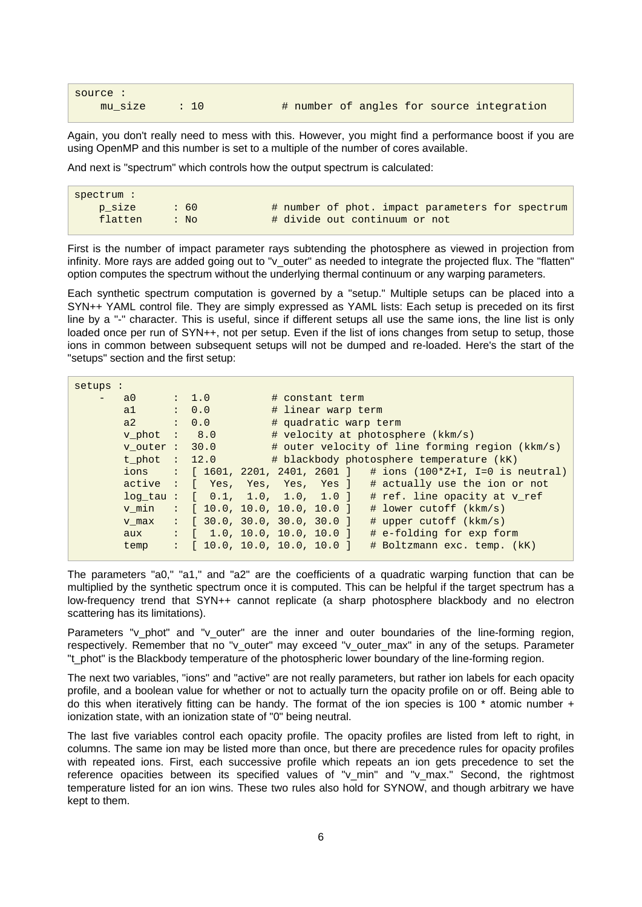source :

Again, you don't really need to mess with this. However, you might find a performance boost if you are using OpenMP and this number is set to a multiple of the number of cores available.

And next is "spectrum" which controls how the output spectrum is calculated:

| spectrum: |         |                                                  |
|-----------|---------|--------------------------------------------------|
| p size    | .60     | # number of phot. impact parameters for spectrum |
| flatten   | $:$ No. | # divide out continuum or not                    |

First is the number of impact parameter rays subtending the photosphere as viewed in projection from infinity. More rays are added going out to "v\_outer" as needed to integrate the projected flux. The "flatten" option computes the spectrum without the underlying thermal continuum or any warping parameters.

Each synthetic spectrum computation is governed by a "setup." Multiple setups can be placed into a SYN++ YAML control file. They are simply expressed as YAML lists: Each setup is preceded on its first line by a "-" character. This is useful, since if different setups all use the same ions, the line list is only loaded once per run of SYN++, not per setup. Even if the list of ions changes from setup to setup, those ions in common between subsequent setups will not be dumped and re-loaded. Here's the start of the "setups" section and the first setup:

| setups : |                  |                  |                                                                                     |
|----------|------------------|------------------|-------------------------------------------------------------------------------------|
|          | $a0$ : 1.0       |                  | # constant term                                                                     |
|          | a1               | : 0.0            | # linear warp term                                                                  |
|          | a2               | $\therefore$ 0.0 | # quadratic warp term                                                               |
|          | v phot $: 8.0$   |                  | # velocity at photosphere (kkm/s)                                                   |
|          | v outer $: 30.0$ |                  | # outer velocity of line forming region (kkm/s)                                     |
|          | t phot : $12.0$  |                  | # blackbody photosphere temperature (kK)                                            |
|          | ions             |                  | : $[1601, 2201, 2401, 2601]$ # ions $(100*2+I, I=0$ is neutral)                     |
|          |                  |                  | active : [ Yes, Yes, Yes, Yes] # actually use the ion or not                        |
|          |                  |                  | $log\_tau$ : $[ 0.1, 1.0, 1.0, 1.0 ]$<br># ref. line opacity at v ref               |
|          | v min            |                  | $\colon$ [ 10.0, 10.0, 10.0, 10.0 ]<br>$\#$ lower cutoff (kkm/s)                    |
|          | v max            |                  | $\colon$ [ 30.0, 30.0, 30.0, 30.0 ]<br>$\#$ upper cutoff (kkm/s)                    |
|          | aux              |                  | $: \begin{bmatrix} 1.0, 10.0, 10.0, 10.0 \end{bmatrix}$<br># e-folding for exp form |
|          | temp             |                  | $\colon$ [ 10.0, 10.0, 10.0, 10.0 ]<br># Boltzmann exc. temp. (kK)                  |

The parameters "a0," "a1," and "a2" are the coefficients of a quadratic warping function that can be multiplied by the synthetic spectrum once it is computed. This can be helpful if the target spectrum has a low-frequency trend that SYN++ cannot replicate (a sharp photosphere blackbody and no electron scattering has its limitations).

Parameters "v\_phot" and "v\_outer" are the inner and outer boundaries of the line-forming region, respectively. Remember that no "v\_outer" may exceed "v\_outer\_max" in any of the setups. Parameter "t\_phot" is the Blackbody temperature of the photospheric lower boundary of the line-forming region.

The next two variables, "ions" and "active" are not really parameters, but rather ion labels for each opacity profile, and a boolean value for whether or not to actually turn the opacity profile on or off. Being able to do this when iteratively fitting can be handy. The format of the ion species is 100  $*$  atomic number  $+$ ionization state, with an ionization state of "0" being neutral.

The last five variables control each opacity profile. The opacity profiles are listed from left to right, in columns. The same ion may be listed more than once, but there are precedence rules for opacity profiles with repeated ions. First, each successive profile which repeats an ion gets precedence to set the reference opacities between its specified values of "v\_min" and "v\_max." Second, the rightmost temperature listed for an ion wins. These two rules also hold for SYNOW, and though arbitrary we have kept to them.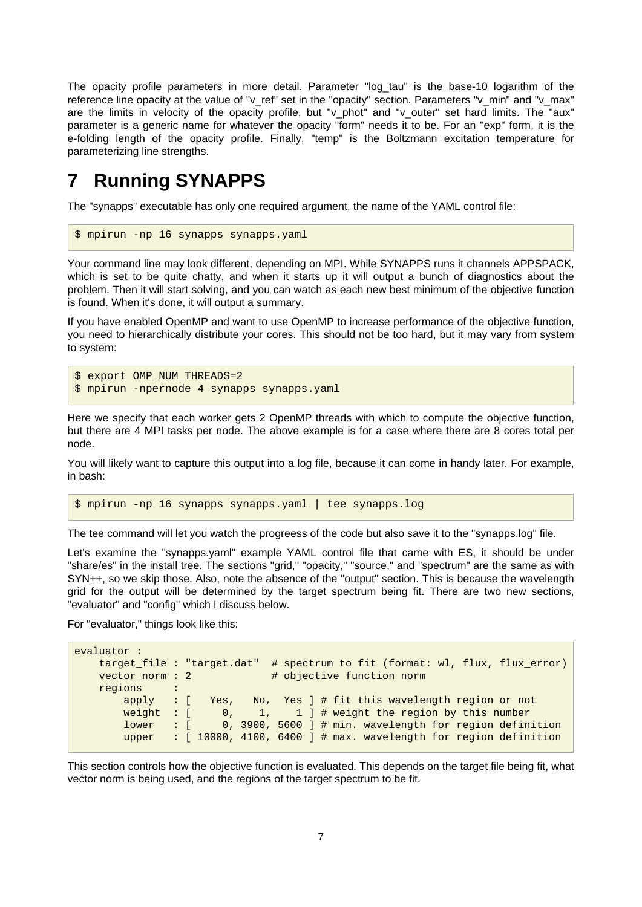The opacity profile parameters in more detail. Parameter "log\_tau" is the base-10 logarithm of the reference line opacity at the value of "v\_ref" set in the "opacity" section. Parameters "v\_min" and "v\_max" are the limits in velocity of the opacity profile, but "v\_phot" and "v\_outer" set hard limits. The "aux" parameter is a generic name for whatever the opacity "form" needs it to be. For an "exp" form, it is the e-folding length of the opacity profile. Finally, "temp" is the Boltzmann excitation temperature for parameterizing line strengths.

## <span id="page-6-0"></span>**7 Running SYNAPPS**

The "synapps" executable has only one required argument, the name of the YAML control file:

```
$ mpirun -np 16 synapps synapps.yaml
```
Your command line may look different, depending on MPI. While SYNAPPS runs it channels APPSPACK, which is set to be quite chatty, and when it starts up it will output a bunch of diagnostics about the problem. Then it will start solving, and you can watch as each new best minimum of the objective function is found. When it's done, it will output a summary.

If you have enabled OpenMP and want to use OpenMP to increase performance of the objective function, you need to hierarchically distribute your cores. This should not be too hard, but it may vary from system to system:

```
$ export OMP NUM THREADS=2
$ mpirun -npernode 4 synapps synapps.yaml
```
Here we specify that each worker gets 2 OpenMP threads with which to compute the objective function, but there are 4 MPI tasks per node. The above example is for a case where there are 8 cores total per node.

You will likely want to capture this output into a log file, because it can come in handy later. For example, in bash:

```
$ mpirun -np 16 synapps synapps.yaml | tee synapps.log
```
The tee command will let you watch the progreess of the code but also save it to the "synapps.log" file.

Let's examine the "synapps.yaml" example YAML control file that came with ES, it should be under "share/es" in the install tree. The sections "grid," "opacity," "source," and "spectrum" are the same as with SYN++, so we skip those. Also, note the absence of the "output" section. This is because the wavelength grid for the output will be determined by the target spectrum being fit. There are two new sections, "evaluator" and "config" which I discuss below.

For "evaluator," things look like this:

```
evaluator :
    target_file : "target.dat" # spectrum to fit (format: wl, flux, flux_error)
   vector_norm : 2 # objective function norm
   regions
        apply : [ Yes, No, Yes ] # fit this wavelength region or not
       weight : [ 0, 1, 1 ] # weight the region by this number
        lower : [ 0, 3900, 5600 ] # min. wavelength for region definition
        upper : [ 10000, 4100, 6400 ] # max. wavelength for region definition
```
This section controls how the objective function is evaluated. This depends on the target file being fit, what vector norm is being used, and the regions of the target spectrum to be fit.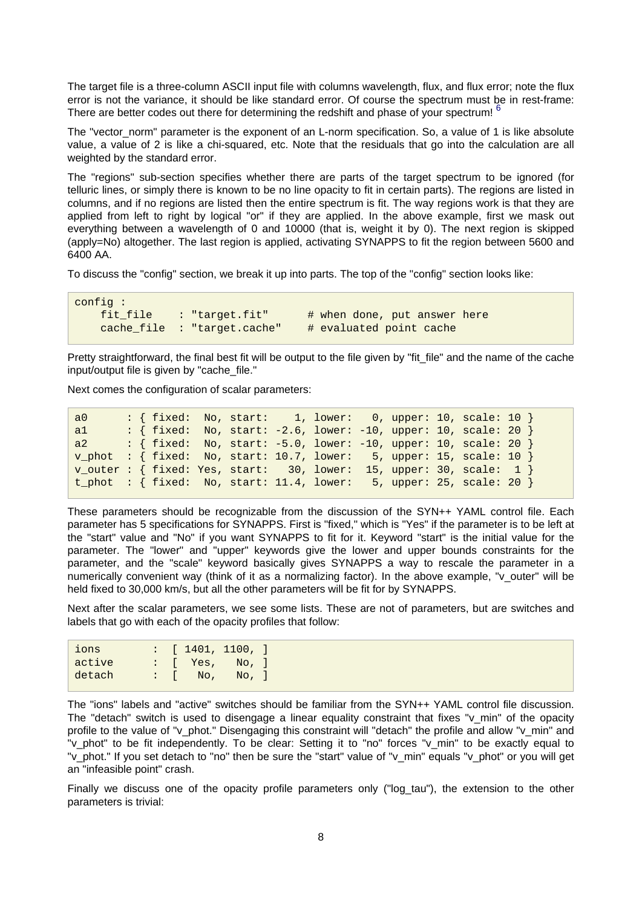<span id="page-7-0"></span>The target file is a three-column ASCII input file with columns wavelength, flux, and flux error; note the flux error is not the variance, it should be like standard error. Of course the spectrum must be in rest-frame: There are better codes out there for determining the redshift and phase of your spectrum! <sup>[6](#page-10-8)</sup>

The "vector\_norm" parameter is the exponent of an L-norm specification. So, a value of 1 is like absolute value, a value of 2 is like a chi-squared, etc. Note that the residuals that go into the calculation are all weighted by the standard error.

The "regions" sub-section specifies whether there are parts of the target spectrum to be ignored (for telluric lines, or simply there is known to be no line opacity to fit in certain parts). The regions are listed in columns, and if no regions are listed then the entire spectrum is fit. The way regions work is that they are applied from left to right by logical "or" if they are applied. In the above example, first we mask out everything between a wavelength of 0 and 10000 (that is, weight it by 0). The next region is skipped (apply=No) altogether. The last region is applied, activating SYNAPPS to fit the region between 5600 and 6400 AA.

To discuss the "config" section, we break it up into parts. The top of the "config" section looks like:

```
config :
    fit_file : "target.fit" # when done, put answer here
    cache_file : "target.cache" # evaluated point cache
```
Pretty straightforward, the final best fit will be output to the file given by "fit\_file" and the name of the cache input/output file is given by "cache\_file."

Next comes the configuration of scalar parameters:

```
a0 : { fixed: No, start: 1, lower: 0, upper: 10, scale: 10 }
a1 : { fixed: No, start: -2.6, lower: -10, upper: 10, scale: 20 }
a2 : { fixed: No, start: -5.0, lower: -10, upper: 10, scale: 20 }
v_phot : { fixed: No, start: 10.7, lower: 5, upper: 15, scale: 10 }
v_<sub>outer</sub> : { fixed: Yes, start: 30, lower: 15, upper: 30, scale: 1 }
t_phot : { fixed: No, start: 11.4, lower: 5, upper: 25, scale: 20 }
```
These parameters should be recognizable from the discussion of the SYN++ YAML control file. Each parameter has 5 specifications for SYNAPPS. First is "fixed," which is "Yes" if the parameter is to be left at the "start" value and "No" if you want SYNAPPS to fit for it. Keyword "start" is the initial value for the parameter. The "lower" and "upper" keywords give the lower and upper bounds constraints for the parameter, and the "scale" keyword basically gives SYNAPPS a way to rescale the parameter in a numerically convenient way (think of it as a normalizing factor). In the above example, "v\_outer" will be held fixed to 30,000 km/s, but all the other parameters will be fit for by SYNAPPS.

Next after the scalar parameters, we see some lists. These are not of parameters, but are switches and labels that go with each of the opacity profiles that follow:

| ions   |  | $\left  \begin{array}{c} \cdot \end{array} \right $ [ 1401, 1100, ] |       |  |
|--------|--|---------------------------------------------------------------------|-------|--|
| active |  | $\therefore$ [ Yes,                                                 | No, ] |  |
| detach |  | $\therefore$ No,                                                    | No. 1 |  |

The "ions" labels and "active" switches should be familiar from the SYN++ YAML control file discussion. The "detach" switch is used to disengage a linear equality constraint that fixes "v\_min" of the opacity profile to the value of "v\_phot." Disengaging this constraint will "detach" the profile and allow "v\_min" and "v\_phot" to be fit independently. To be clear: Setting it to "no" forces "v\_min" to be exactly equal to "v\_phot." If you set detach to "no" then be sure the "start" value of "v\_min" equals "v\_phot" or you will get an "infeasible point" crash.

Finally we discuss one of the opacity profile parameters only ("log tau"), the extension to the other parameters is trivial: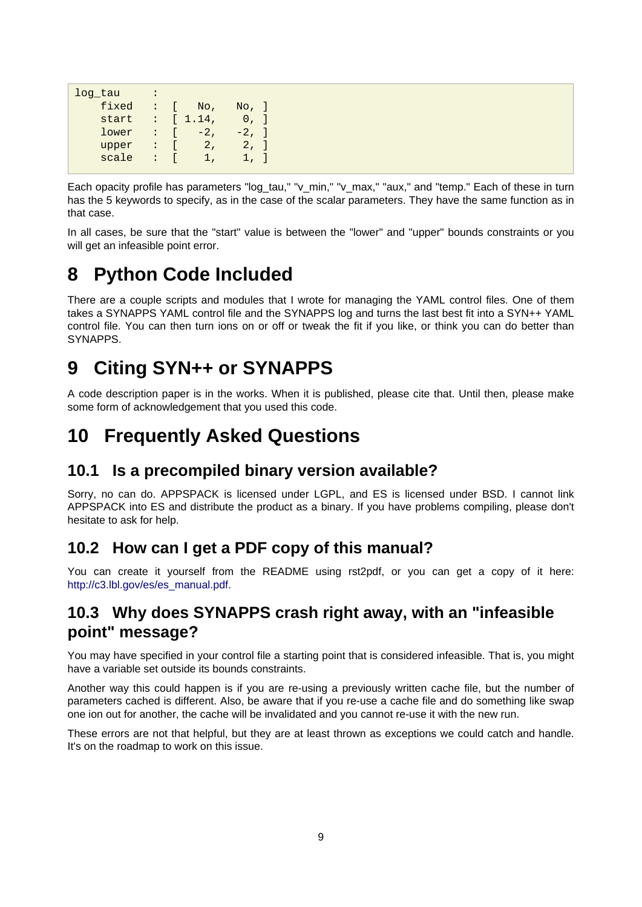```
log tau :
   fixed : [ No, No, ]<br>start : [ 1.14, 0, ]
   start : [ 1.14,
   lower : [-2, -2, ]upper : [ 2, 2, ]scale : [ 1, 1, ]
```
Each opacity profile has parameters "log tau," "v\_min," "v\_max," "aux," and "temp." Each of these in turn has the 5 keywords to specify, as in the case of the scalar parameters. They have the same function as in that case.

In all cases, be sure that the "start" value is between the "lower" and "upper" bounds constraints or you will get an infeasible point error.

### <span id="page-8-0"></span>**8 Python Code Included**

There are a couple scripts and modules that I wrote for managing the YAML control files. One of them takes a SYNAPPS YAML control file and the SYNAPPS log and turns the last best fit into a SYN++ YAML control file. You can then turn ions on or off or tweak the fit if you like, or think you can do better than SYNAPPS.

### <span id="page-8-1"></span>**9 Citing SYN++ or SYNAPPS**

A code description paper is in the works. When it is published, please cite that. Until then, please make some form of acknowledgement that you used this code.

### <span id="page-8-2"></span>**10 Frequently Asked Questions**

#### <span id="page-8-3"></span>**10.1 Is a precompiled binary version available?**

Sorry, no can do. APPSPACK is licensed under LGPL, and ES is licensed under BSD. I cannot link APPSPACK into ES and distribute the product as a binary. If you have problems compiling, please don't hesitate to ask for help.

#### <span id="page-8-4"></span>**10.2 How can I get a PDF copy of this manual?**

You can create it yourself from the README using rst2pdf, or you can get a copy of it here: [http://c3.lbl.gov/es/es\\_manual.pdf.](http://c3.lbl.gov/es/es_manual.pdf)

### <span id="page-8-5"></span>**10.3 Why does SYNAPPS crash right away, with an "infeasible point" message?**

You may have specified in your control file a starting point that is considered infeasible. That is, you might have a variable set outside its bounds constraints.

Another way this could happen is if you are re-using a previously written cache file, but the number of parameters cached is different. Also, be aware that if you re-use a cache file and do something like swap one ion out for another, the cache will be invalidated and you cannot re-use it with the new run.

These errors are not that helpful, but they are at least thrown as exceptions we could catch and handle. It's on the roadmap to work on this issue.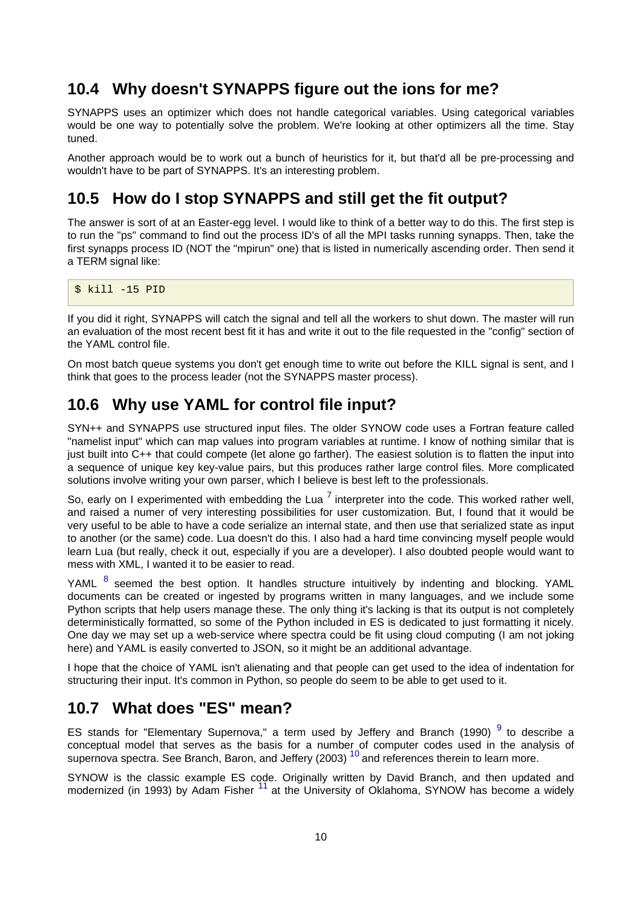### <span id="page-9-0"></span>**10.4 Why doesn't SYNAPPS figure out the ions for me?**

SYNAPPS uses an optimizer which does not handle categorical variables. Using categorical variables would be one way to potentially solve the problem. We're looking at other optimizers all the time. Stay tuned.

Another approach would be to work out a bunch of heuristics for it, but that'd all be pre-processing and wouldn't have to be part of SYNAPPS. It's an interesting problem.

### <span id="page-9-1"></span>**10.5 How do I stop SYNAPPS and still get the fit output?**

The answer is sort of at an Easter-egg level. I would like to think of a better way to do this. The first step is to run the "ps" command to find out the process ID's of all the MPI tasks running synapps. Then, take the first synapps process ID (NOT the "mpirun" one) that is listed in numerically ascending order. Then send it a TERM signal like:

\$ kill -15 PID

If you did it right, SYNAPPS will catch the signal and tell all the workers to shut down. The master will run an evaluation of the most recent best fit it has and write it out to the file requested in the "config" section of the YAML control file.

On most batch queue systems you don't get enough time to write out before the KILL signal is sent, and I think that goes to the process leader (not the SYNAPPS master process).

#### <span id="page-9-2"></span>**10.6 Why use YAML for control file input?**

SYN++ and SYNAPPS use structured input files. The older SYNOW code uses a Fortran feature called "namelist input" which can map values into program variables at runtime. I know of nothing similar that is just built into C++ that could compete (let alone go farther). The easiest solution is to flatten the input into a sequence of unique key key-value pairs, but this produces rather large control files. More complicated solutions involve writing your own parser, which I believe is best left to the professionals.

<span id="page-9-4"></span>So, early on I experimented with embedding the Lua  $^7$  interpreter into the code. This worked rather well, and raised a numer of very interesting possibilities for user customization. But, I found that it would be very useful to be able to have a code serialize an internal state, and then use that serialized state as input to another (or the same) code. Lua doesn't do this. I also had a hard time convincing myself people would learn Lua (but really, check it out, especially if you are a developer). I also doubted people would want to mess with XML, I wanted it to be easier to read.

<span id="page-9-5"></span>YAML <sup>8</sup> seemed the best option. It handles structure intuitively by indenting and blocking. YAML documents can be created or ingested by programs written in many languages, and we include some Python scripts that help users manage these. The only thing it's lacking is that its output is not completely deterministically formatted, so some of the Python included in ES is dedicated to just formatting it nicely. One day we may set up a web-service where spectra could be fit using cloud computing (I am not joking here) and YAML is easily converted to JSON, so it might be an additional advantage.

I hope that the choice of YAML isn't alienating and that people can get used to the idea of indentation for structuring their input. It's common in Python, so people do seem to be able to get used to it.

### <span id="page-9-3"></span>**10.7 What does "ES" mean?**

<span id="page-9-6"></span>ES stands for "Elementary Supernova," a term used by Jeffery and Branch (1990)<sup>9</sup> to describe a conceptual model that serves as the basis for a number of computer codes used in the analysis of supernova spectra. See Branch, Baron, and Jeffery (2003)  $^{10}$  and references therein to learn more.

<span id="page-9-8"></span><span id="page-9-7"></span>SYNOW is the classic example ES code. Originally written by David Branch, and then updated and modernized (in 1993) by Adam Fisher <sup>11</sup> at the University of Oklahoma, SYNOW has become a widely